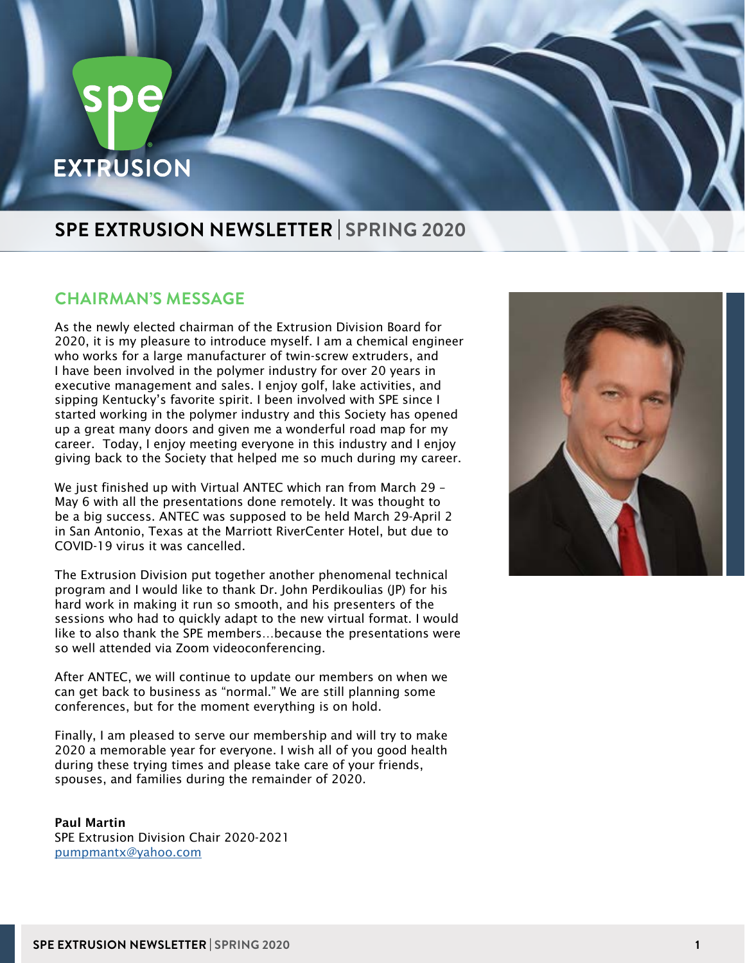# **EXTRUSION**

## **SPE EXTRUSION NEWSLETTER | SPRING 2020**

#### **CHAIRMAN'S MESSAGE**

As the newly elected chairman of the Extrusion Division Board for 2020, it is my pleasure to introduce myself. I am a chemical engineer who works for a large manufacturer of twin-screw extruders, and I have been involved in the polymer industry for over 20 years in executive management and sales. I enjoy golf, lake activities, and sipping Kentucky's favorite spirit. I been involved with SPE since I started working in the polymer industry and this Society has opened up a great many doors and given me a wonderful road map for my career. Today, I enjoy meeting everyone in this industry and I enjoy giving back to the Society that helped me so much during my career.

We just finished up with Virtual ANTEC which ran from March 29 – May 6 with all the presentations done remotely. It was thought to be a big success. ANTEC was supposed to be held March 29-April 2 in San Antonio, Texas at the Marriott RiverCenter Hotel, but due to COVID-19 virus it was cancelled.

The Extrusion Division put together another phenomenal technical program and I would like to thank Dr. John Perdikoulias (JP) for his hard work in making it run so smooth, and his presenters of the sessions who had to quickly adapt to the new virtual format. I would like to also thank the SPE members…because the presentations were so well attended via Zoom videoconferencing.

After ANTEC, we will continue to update our members on when we can get back to business as "normal." We are still planning some conferences, but for the moment everything is on hold.

Finally, I am pleased to serve our membership and will try to make 2020 a memorable year for everyone. I wish all of you good health during these trying times and please take care of your friends, spouses, and families during the remainder of 2020.

Paul Martin SPE Extrusion Division Chair 2020-2021 [pumpmantx@yahoo.com](mailto:pumpmantx%40yahoo.com?subject=)

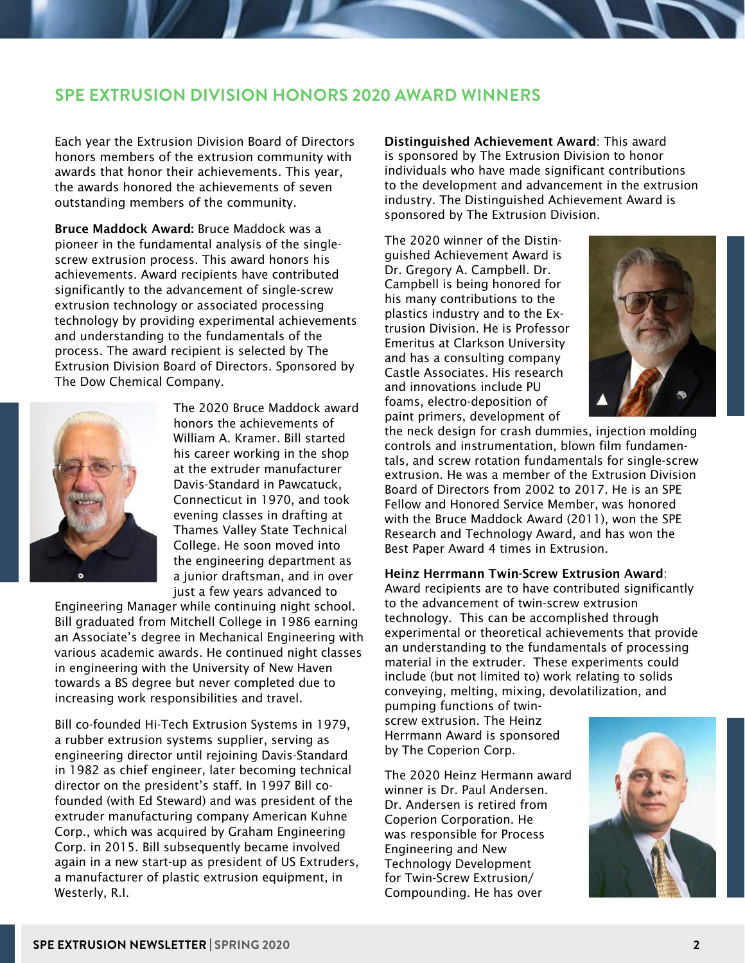#### **SPE EXTRUSION DIVISION HONORS 2020 AWARD WINNERS**

Each year the Extrusion Division Board of Directors honors members of the extrusion community with awards that honor their achievements. This year, the awards honored the achievements of seven outstanding members of the community.

Bruce Maddock Award: Bruce Maddock was a pioneer in the fundamental analysis of the singlescrew extrusion process. This award honors his achievements. Award recipients have contributed significantly to the advancement of single-screw extrusion technology or associated processing technology by providing experimental achievements and understanding to the fundamentals of the process. The award recipient is selected by The Extrusion Division Board of Directors. Sponsored by The Dow Chemical Company.



The 2020 Bruce Maddock award honors the achievements of William A. Kramer. Bill started his career working in the shop at the extruder manufacturer Davis-Standard in Pawcatuck, Connecticut in 1970, and took evening classes in drafting at Thames Valley State Technical College. He soon moved into the engineering department as a junior draftsman, and in over just a few years advanced to

Engineering Manager while continuing night school. Bill graduated from Mitchell College in 1986 earning an Associate's degree in Mechanical Engineering with various academic awards. He continued night classes in engineering with the University of New Haven towards a BS degree but never completed due to increasing work responsibilities and travel.

Bill co-founded Hi-Tech Extrusion Systems in 1979, a rubber extrusion systems supplier, serving as engineering director until rejoining Davis-Standard in 1982 as chief engineer, later becoming technical director on the president's staff. In 1997 Bill cofounded (with Ed Steward) and was president of the extruder manufacturing company American Kuhne Corp., which was acquired by Graham Engineering Corp. in 2015. Bill subsequently became involved again in a new start-up as president of US Extruders, a manufacturer of plastic extrusion equipment, in Westerly, R.I.

Distinguished Achievement Award: This award is sponsored by The Extrusion Division to honor individuals who have made significant contributions to the development and advancement in the extrusion industry. The Distinguished Achievement Award is sponsored by The Extrusion Division.

The 2020 winner of the Distinguished Achievement Award is Dr. Gregory A. Campbell. Dr. Campbell is being honored for his many contributions to the plastics industry and to the Extrusion Division. He is Professor Emeritus at Clarkson University and has a consulting company Castle Associates. His research and innovations include PU foams, electro-deposition of paint primers, development of



the neck design for crash dummies, injection molding controls and instrumentation, blown film fundamentals, and screw rotation fundamentals for single-screw extrusion. He was a member of the Extrusion Division Board of Directors from 2002 to 2017. He is an SPE Fellow and Honored Service Member, was honored with the Bruce Maddock Award (2011), won the SPE Research and Technology Award, and has won the Best Paper Award 4 times in Extrusion.

#### Heinz Herrmann Twin-Screw Extrusion Award:

Award recipients are to have contributed significantly to the advancement of twin-screw extrusion technology. This can be accomplished through experimental or theoretical achievements that provide an understanding to the fundamentals of processing material in the extruder. These experiments could include (but not limited to) work relating to solids conveying, melting, mixing, devolatilization, and

pumping functions of twinscrew extrusion. The Heinz Herrmann Award is sponsored by The Coperion Corp.

The 2020 Heinz Hermann award winner is Dr. Paul Andersen. Dr. Andersen is retired from Coperion Corporation. He was responsible for Process Engineering and New Technology Development for Twin-Screw Extrusion/ Compounding. He has over

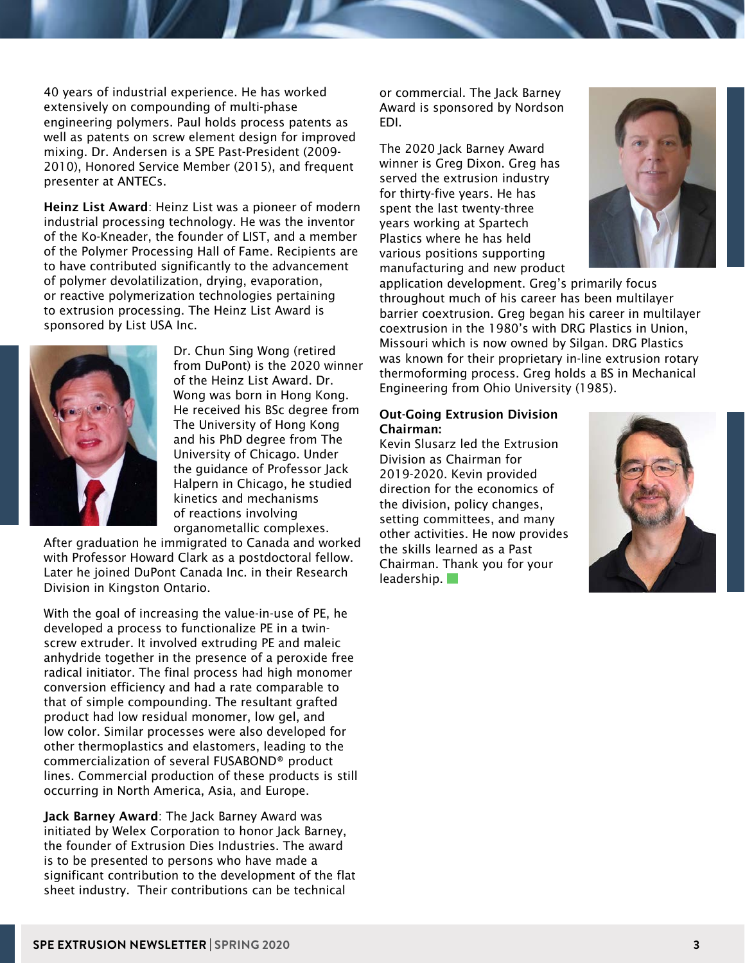40 years of industrial experience. He has worked extensively on compounding of multi-phase engineering polymers. Paul holds process patents as well as patents on screw element design for improved mixing. Dr. Andersen is a SPE Past-President (2009- 2010), Honored Service Member (2015), and frequent presenter at ANTECs.

Heinz List Award: Heinz List was a pioneer of modern industrial processing technology. He was the inventor of the Ko-Kneader, the founder of LIST, and a member of the Polymer Processing Hall of Fame. Recipients are to have contributed significantly to the advancement of polymer devolatilization, drying, evaporation, or reactive polymerization technologies pertaining to extrusion processing. The Heinz List Award is sponsored by List USA Inc.



Dr. Chun Sing Wong (retired from DuPont) is the 2020 winner of the Heinz List Award. Dr. Wong was born in Hong Kong. He received his BSc degree from The University of Hong Kong and his PhD degree from The University of Chicago. Under the guidance of Professor Jack Halpern in Chicago, he studied kinetics and mechanisms of reactions involving organometallic complexes.

After graduation he immigrated to Canada and worked with Professor Howard Clark as a postdoctoral fellow. Later he joined DuPont Canada Inc. in their Research Division in Kingston Ontario.

With the goal of increasing the value-in-use of PE, he developed a process to functionalize PE in a twinscrew extruder. It involved extruding PE and maleic anhydride together in the presence of a peroxide free radical initiator. The final process had high monomer conversion efficiency and had a rate comparable to that of simple compounding. The resultant grafted product had low residual monomer, low gel, and low color. Similar processes were also developed for other thermoplastics and elastomers, leading to the commercialization of several FUSABOND® product lines. Commercial production of these products is still occurring in North America, Asia, and Europe.

Jack Barney Award: The Jack Barney Award was initiated by Welex Corporation to honor Jack Barney, the founder of Extrusion Dies Industries. The award is to be presented to persons who have made a significant contribution to the development of the flat sheet industry. Their contributions can be technical

or commercial. The Jack Barney Award is sponsored by Nordson EDI.

The 2020 Jack Barney Award winner is Greg Dixon. Greg has served the extrusion industry for thirty-five years. He has spent the last twenty-three years working at Spartech Plastics where he has held various positions supporting manufacturing and new product



application development. Greg's primarily focus throughout much of his career has been multilayer barrier coextrusion. Greg began his career in multilayer coextrusion in the 1980's with DRG Plastics in Union, Missouri which is now owned by Silgan. DRG Plastics was known for their proprietary in-line extrusion rotary thermoforming process. Greg holds a BS in Mechanical Engineering from Ohio University (1985).

#### Out-Going Extrusion Division Chairman:

Kevin Slusarz led the Extrusion Division as Chairman for 2019-2020. Kevin provided direction for the economics of the division, policy changes, setting committees, and many other activities. He now provides the skills learned as a Past Chairman. Thank you for your leadership.

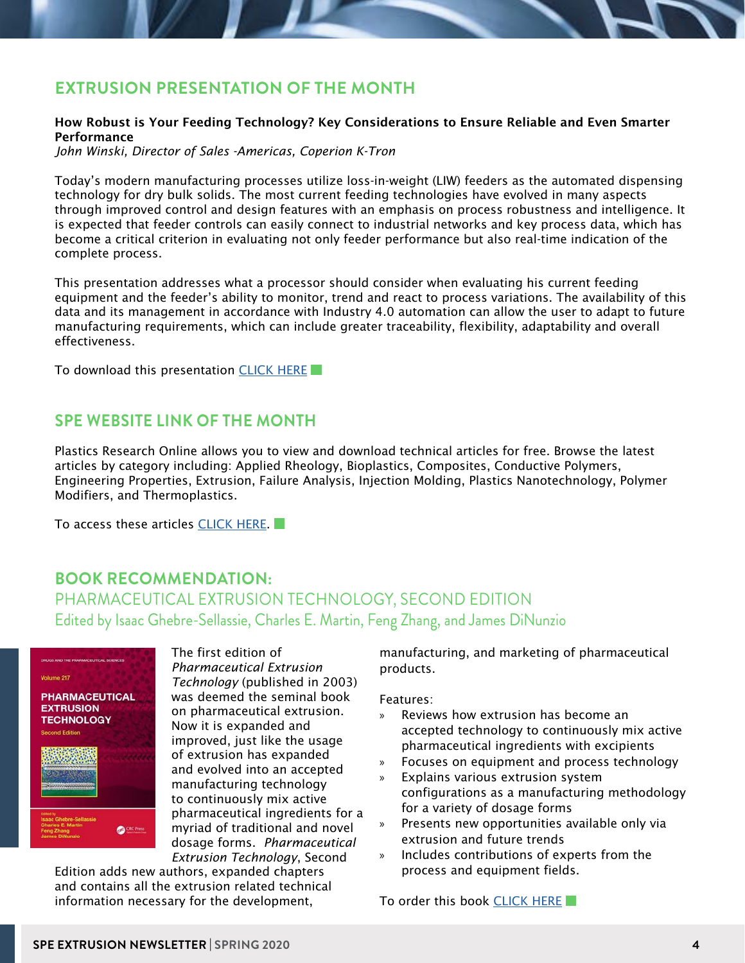## **EXTRUSION PRESENTATION OF THE MONTH**

#### How Robust is Your Feeding Technology? Key Considerations to Ensure Reliable and Even Smarter Performance

*John Winski, Director of Sales -Americas, Coperion K-Tron*

Today's modern manufacturing processes utilize loss-in-weight (LIW) feeders as the automated dispensing technology for dry bulk solids. The most current feeding technologies have evolved in many aspects through improved control and design features with an emphasis on process robustness and intelligence. It is expected that feeder controls can easily connect to industrial networks and key process data, which has become a critical criterion in evaluating not only feeder performance but also real-time indication of the complete process.

This presentation addresses what a processor should consider when evaluating his current feeding equipment and the feeder's ability to monitor, trend and react to process variations. The availability of this data and its management in accordance with Industry 4.0 automation can allow the user to adapt to future manufacturing requirements, which can include greater traceability, flexibility, adaptability and overall effectiveness.

To download this presentation [CLICK HERE](https://www.4spe.org/files/Chapters/D22/presentationofthemonth.pdf)

#### **SPE WEBSITE LINK OF THE MONTH**

Plastics Research Online allows you to view and download technical articles for free. Browse the latest articles by category including: Applied Rheology, Bioplastics, Composites, Conductive Polymers, Engineering Properties, Extrusion, Failure Analysis, Injection Molding, Plastics Nanotechnology, Polymer Modifiers, and Thermoplastics.

To access these articles [CLICK HERE](https://www.4spe.org/i4a/doclibrary/index.cfm?pageid=3714).

#### **BOOK RECOMMENDATION:**  PHARMACEUTICAL EXTRUSION TECHNOLOGY, SECOND EDITION Edited by Isaac Ghebre-Sellassie, Charles E. Martin, Feng Zhang, and James DiNunzio



The first edition of *Pharmaceutical Extrusion Technology* (published in 2003) was deemed the seminal book on pharmaceutical extrusion. Now it is expanded and improved, just like the usage of extrusion has expanded and evolved into an accepted manufacturing technology to continuously mix active pharmaceutical ingredients for a myriad of traditional and novel dosage forms. *Pharmaceutical Extrusion Technology*, Second

Edition adds new authors, expanded chapters and contains all the extrusion related technical information necessary for the development,

manufacturing, and marketing of pharmaceutical products.

Features:

- Reviews how extrusion has become an accepted technology to continuously mix active pharmaceutical ingredients with excipients
- » Focuses on equipment and process technology
- » Explains various extrusion system configurations as a manufacturing methodology for a variety of dosage forms
- » Presents new opportunities available only via extrusion and future trends
- » Includes contributions of experts from the process and equipment fields.

To order this book [CLICK HERE](https://www.routledge.com/Pharmaceutical-Extrusion-Technology/Ghebre-Sellassie-Martin-Zhang-DiNunzio/p/book/9781498704915)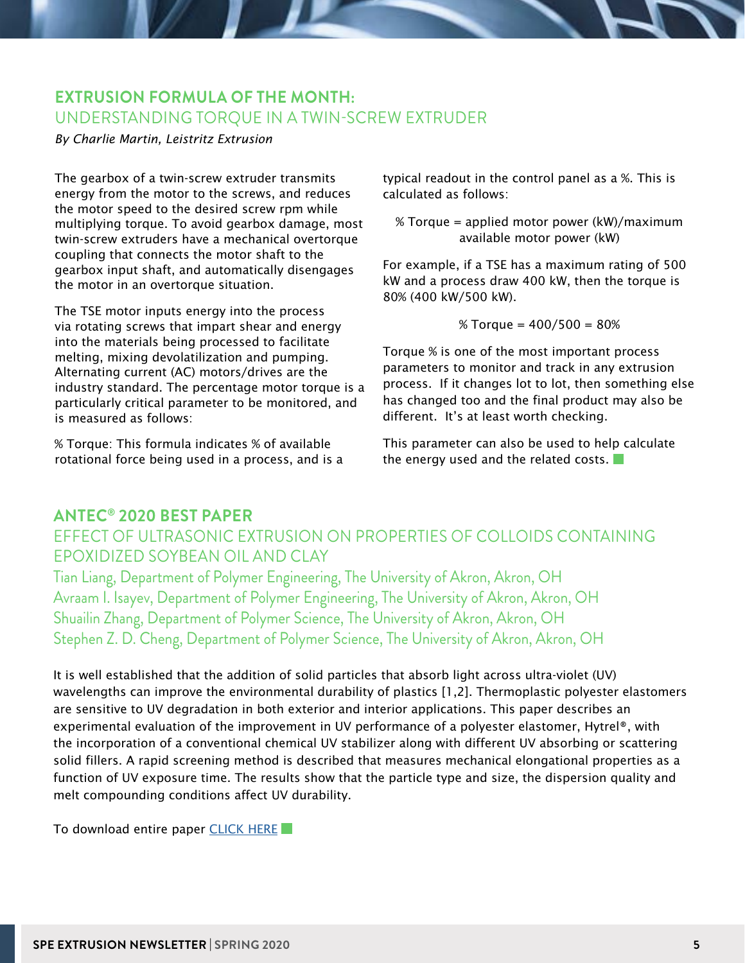#### **EXTRUSION FORMULA OF THE MONTH:**  UNDERSTANDING TORQUE IN A TWIN-SCREW EXTRUDER

#### *By Charlie Martin, Leistritz Extrusion*

The gearbox of a twin-screw extruder transmits energy from the motor to the screws, and reduces the motor speed to the desired screw rpm while multiplying torque. To avoid gearbox damage, most twin-screw extruders have a mechanical overtorque coupling that connects the motor shaft to the gearbox input shaft, and automatically disengages the motor in an overtorque situation.

The TSE motor inputs energy into the process via rotating screws that impart shear and energy into the materials being processed to facilitate melting, mixing devolatilization and pumping. Alternating current (AC) motors/drives are the industry standard. The percentage motor torque is a particularly critical parameter to be monitored, and is measured as follows:

% Torque: This formula indicates % of available rotational force being used in a process, and is a typical readout in the control panel as a %. This is calculated as follows:

% Torque = applied motor power (kW)/maximum available motor power (kW)

For example, if a TSE has a maximum rating of 500 kW and a process draw 400 kW, then the torque is 80% (400 kW/500 kW).

$$
% Torque = 400/500 = 80%
$$

Torque % is one of the most important process parameters to monitor and track in any extrusion process. If it changes lot to lot, then something else has changed too and the final product may also be different. It's at least worth checking.

This parameter can also be used to help calculate the energy used and the related costs.

## **ANTEC® 2020 BEST PAPER**

## EFFECT OF ULTRASONIC EXTRUSION ON PROPERTIES OF COLLOIDS CONTAINING EPOXIDIZED SOYBEAN OIL AND CLAY

Tian Liang, Department of Polymer Engineering, The University of Akron, Akron, OH Avraam I. Isayev, Department of Polymer Engineering, The University of Akron, Akron, OH Shuailin Zhang, Department of Polymer Science, The University of Akron, Akron, OH Stephen Z. D. Cheng, Department of Polymer Science, The University of Akron, Akron, OH

It is well established that the addition of solid particles that absorb light across ultra-violet (UV) wavelengths can improve the environmental durability of plastics [1,2]. Thermoplastic polyester elastomers are sensitive to UV degradation in both exterior and interior applications. This paper describes an experimental evaluation of the improvement in UV performance of a polyester elastomer, Hytrel®, with the incorporation of a conventional chemical UV stabilizer along with different UV absorbing or scattering solid fillers. A rapid screening method is described that measures mechanical elongational properties as a function of UV exposure time. The results show that the particle type and size, the dispersion quality and melt compounding conditions affect UV durability.

To download entire paper [CLICK HERE](https://www.4spe.org/files/Chapters/D22/ANTEC2020bestpaper.pdf)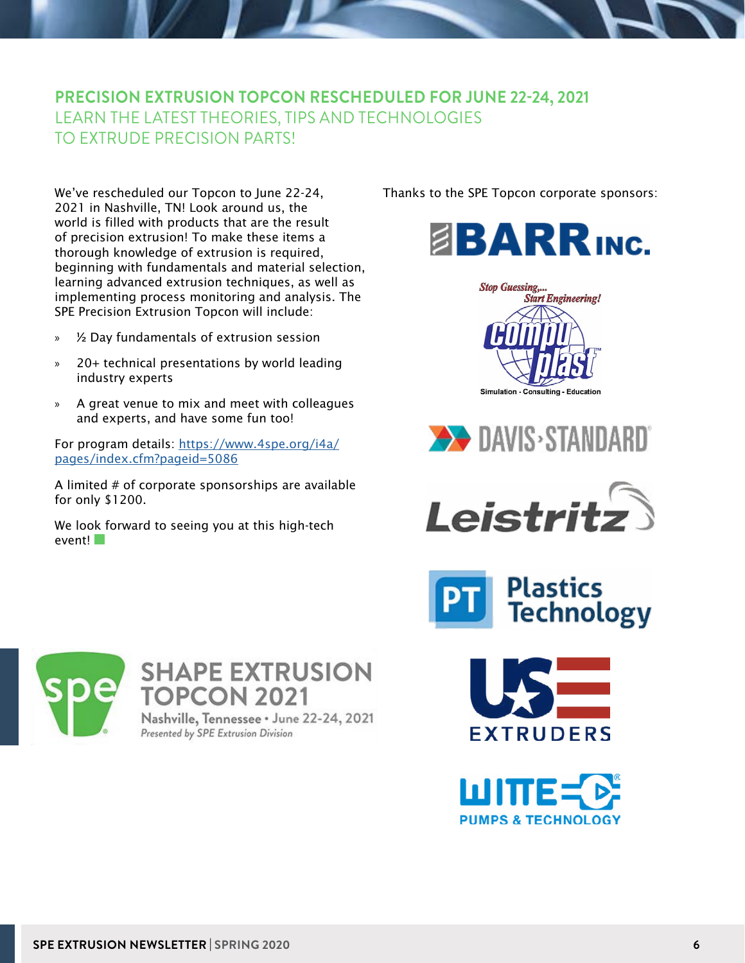#### **PRECISION EXTRUSION TOPCON RESCHEDULED FOR JUNE 22-24, 2021** LEARN THE LATEST THEORIES, TIPS AND TECHNOLOGIES TO EXTRUDE PRECISION PARTS!

We've rescheduled our Topcon to June 22-24, 2021 in Nashville, TN! Look around us, the world is filled with products that are the result of precision extrusion! To make these items a thorough knowledge of extrusion is required, beginning with fundamentals and material selection, learning advanced extrusion techniques, as well as implementing process monitoring and analysis. The SPE Precision Extrusion Topcon will include:

- » ½ Day fundamentals of extrusion session
- » 20+ technical presentations by world leading industry experts
- » A great venue to mix and meet with colleagues and experts, and have some fun too!

For program details: [https://www.4spe.org/i4a/](https://www.4spe.org/i4a/pages/index.cfm?pageid=5086) [pages/index.cfm?pageid=5086](https://www.4spe.org/i4a/pages/index.cfm?pageid=5086)

A limited # of corporate sponsorships are available for only \$1200.

We look forward to seeing you at this high-tech event!

Thanks to the SPE Topcon corporate sponsors:













**SHAPE EXTRUSION TOPCON 2021** 

Nashville, Tennessee · June 22-24, 2021 Presented by SPE Extrusion Division



**EXTRUDERS**